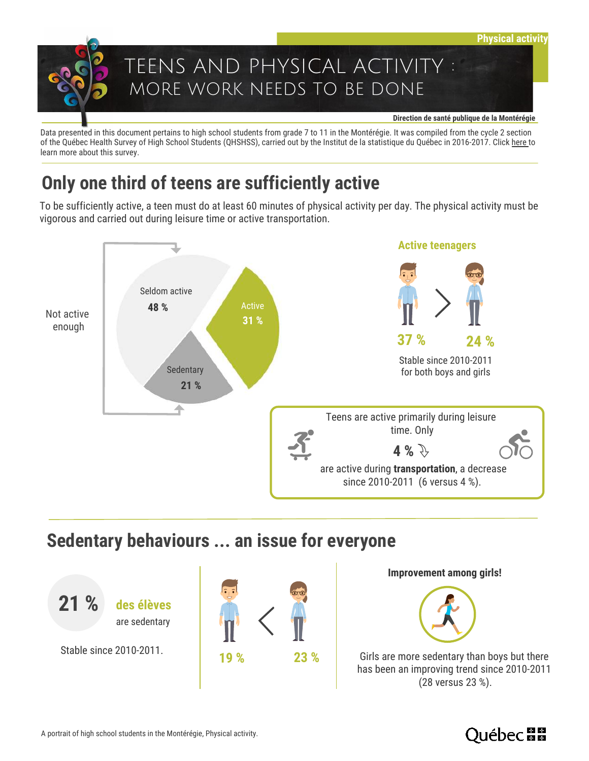

Data presented in this document pertains to high school students from grade 7 to 11 in the Montérégie. It was compiled from the cycle 2 section of the Québec Health Survey of High School Students (QHSHSS), carried out by the Institut de la statistique du Québec in 2016-2017. Click [here t](https://www.eqsjs.stat.gouv.qc.ca/)o learn more about this survey.

## **Only one third of teens are sufficiently active**

To be sufficiently active, a teen must do at least 60 minutes of physical activity per day. The physical activity must be vigorous and carried out during leisure time or active transportation.



## **Sedentary behaviours ... an issue for everyone**



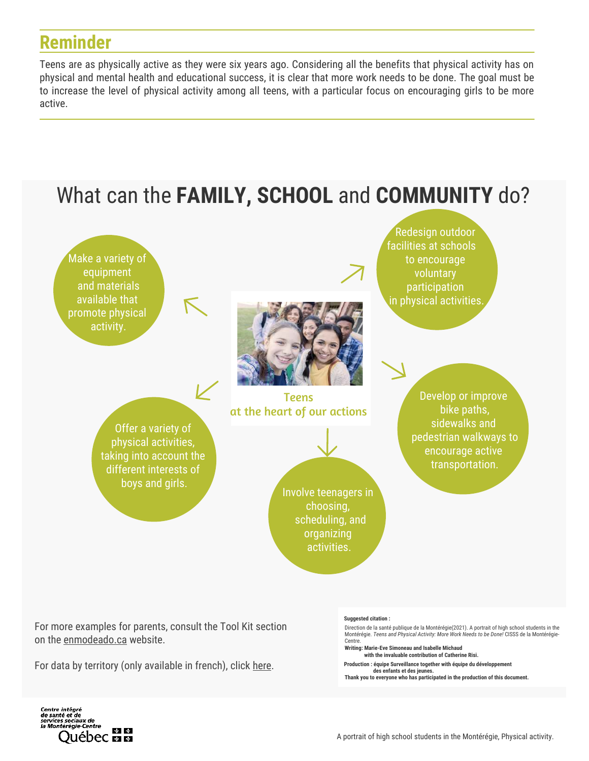## **Reminder**

 $\overline{a}$ 

Teens are as physically active as they were six years ago. Considering all the benefits that physical activity has on physical and mental health and educational success, it is clear that more work needs to be done. The goal must be to increase the level of physical activity among all teens, with a particular focus on encouraging girls to be more active.



For more examples for parents, consult the Tool Kit section on the [enmodeado.ca w](https://enmodeado.ca/)ebsite.

For data by territory (only available in french), click [here.](http://extranet.santemonteregie.qc.ca/sante-publique/promotion-prevention/jeunesse/eqsjs.fr.html)

#### **Suggested citation :**

Direction de la santé publique de la Montérégie(2021). A portrait of high school students in the Montérégie. *Teens and Physical Activity: More Work Needs to be Done!* CISSS de la Montérégie-Centre.

**Writing: Marie-Eve Simoneau and Isabelle Michaud with the invaluable contribution of Catherine Risi.**

**Production : équipe Surveillance together with équipe du développement des enfants et des jeunes.** 

**Thank you to everyone who has participated in the production of this document.**